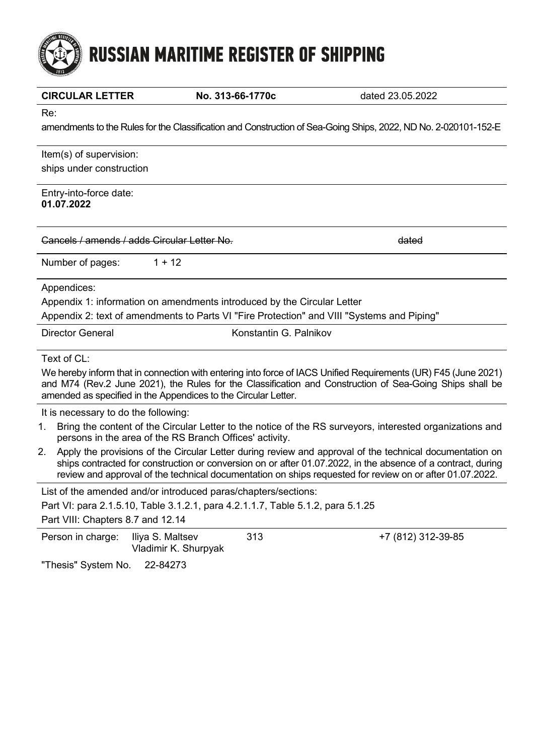# **RUSSIAN MARITIME REGISTER OF SHIPPING**

| <b>CIRCULAR LETTER</b>                      | No. 313-66-1770c                                                                           | dated 23.05.2022                                                                                                                                                                                                                                                                                                                     |
|---------------------------------------------|--------------------------------------------------------------------------------------------|--------------------------------------------------------------------------------------------------------------------------------------------------------------------------------------------------------------------------------------------------------------------------------------------------------------------------------------|
| Re:                                         |                                                                                            |                                                                                                                                                                                                                                                                                                                                      |
|                                             |                                                                                            | amendments to the Rules for the Classification and Construction of Sea-Going Ships, 2022, ND No. 2-020101-152-E                                                                                                                                                                                                                      |
| Item(s) of supervision:                     |                                                                                            |                                                                                                                                                                                                                                                                                                                                      |
| ships under construction                    |                                                                                            |                                                                                                                                                                                                                                                                                                                                      |
| Entry-into-force date:<br>01.07.2022        |                                                                                            |                                                                                                                                                                                                                                                                                                                                      |
| Cancels / amends / adds Circular Letter No. |                                                                                            | dated                                                                                                                                                                                                                                                                                                                                |
| Number of pages:                            | $1 + 12$                                                                                   |                                                                                                                                                                                                                                                                                                                                      |
| Appendices:                                 |                                                                                            |                                                                                                                                                                                                                                                                                                                                      |
|                                             | Appendix 1: information on amendments introduced by the Circular Letter                    |                                                                                                                                                                                                                                                                                                                                      |
|                                             | Appendix 2: text of amendments to Parts VI "Fire Protection" and VIII "Systems and Piping" |                                                                                                                                                                                                                                                                                                                                      |
| <b>Director General</b>                     | Konstantin G. Palnikov                                                                     |                                                                                                                                                                                                                                                                                                                                      |
| Text of CL:                                 |                                                                                            |                                                                                                                                                                                                                                                                                                                                      |
|                                             | amended as specified in the Appendices to the Circular Letter.                             | We hereby inform that in connection with entering into force of IACS Unified Requirements (UR) F45 (June 2021)<br>and M74 (Rev.2 June 2021), the Rules for the Classification and Construction of Sea-Going Ships shall be                                                                                                           |
| It is necessary to do the following:        |                                                                                            |                                                                                                                                                                                                                                                                                                                                      |
| 1.                                          | persons in the area of the RS Branch Offices' activity.                                    | Bring the content of the Circular Letter to the notice of the RS surveyors, interested organizations and                                                                                                                                                                                                                             |
| 2.                                          |                                                                                            | Apply the provisions of the Circular Letter during review and approval of the technical documentation on<br>ships contracted for construction or conversion on or after 01.07.2022, in the absence of a contract, during<br>review and approval of the technical documentation on ships requested for review on or after 01.07.2022. |
|                                             | List of the amended and/or introduced paras/chapters/sections:                             |                                                                                                                                                                                                                                                                                                                                      |
|                                             | Part VI: para 2.1.5.10, Table 3.1.2.1, para 4.2.1.1.7, Table 5.1.2, para 5.1.25            |                                                                                                                                                                                                                                                                                                                                      |
| Part VIII: Chapters 8.7 and 12.14           |                                                                                            |                                                                                                                                                                                                                                                                                                                                      |
| Person in charge:                           | Iliya S. Maltsev<br>313<br>Vladimir K. Shurpyak                                            | +7 (812) 312-39-85                                                                                                                                                                                                                                                                                                                   |
|                                             | 00.01070                                                                                   |                                                                                                                                                                                                                                                                                                                                      |

"Thesis" System No. 22-84273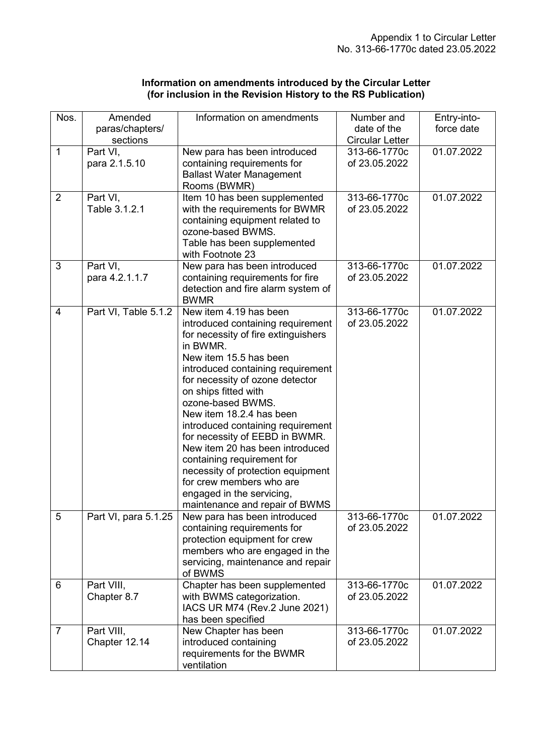| Information on amendments introduced by the Circular Letter   |  |
|---------------------------------------------------------------|--|
| (for inclusion in the Revision History to the RS Publication) |  |

| Nos.           | Amended                     | Information on amendments                                                                                                                                                                                                                                                                                                                                                                                                                                                                                                                                         | Number and                             | Entry-into- |
|----------------|-----------------------------|-------------------------------------------------------------------------------------------------------------------------------------------------------------------------------------------------------------------------------------------------------------------------------------------------------------------------------------------------------------------------------------------------------------------------------------------------------------------------------------------------------------------------------------------------------------------|----------------------------------------|-------------|
|                | paras/chapters/             |                                                                                                                                                                                                                                                                                                                                                                                                                                                                                                                                                                   | date of the                            | force date  |
| $\mathbf{1}$   | sections<br>Part VI,        | New para has been introduced                                                                                                                                                                                                                                                                                                                                                                                                                                                                                                                                      | <b>Circular Letter</b><br>313-66-1770c | 01.07.2022  |
|                | para 2.1.5.10               | containing requirements for<br><b>Ballast Water Management</b><br>Rooms (BWMR)                                                                                                                                                                                                                                                                                                                                                                                                                                                                                    | of 23.05.2022                          |             |
| $\overline{2}$ | Part VI,<br>Table 3.1.2.1   | Item 10 has been supplemented<br>with the requirements for BWMR<br>containing equipment related to<br>ozone-based BWMS.<br>Table has been supplemented<br>with Footnote 23                                                                                                                                                                                                                                                                                                                                                                                        | 313-66-1770c<br>of 23.05.2022          | 01.07.2022  |
| $\overline{3}$ | Part VI,<br>para 4.2.1.1.7  | New para has been introduced<br>containing requirements for fire<br>detection and fire alarm system of<br><b>BWMR</b>                                                                                                                                                                                                                                                                                                                                                                                                                                             | 313-66-1770c<br>of 23.05.2022          | 01.07.2022  |
| 4              | Part VI, Table 5.1.2        | New item 4.19 has been<br>introduced containing requirement<br>for necessity of fire extinguishers<br>in BWMR.<br>New item 15.5 has been<br>introduced containing requirement<br>for necessity of ozone detector<br>on ships fitted with<br>ozone-based BWMS.<br>New item 18.2.4 has been<br>introduced containing requirement<br>for necessity of EEBD in BWMR.<br>New item 20 has been introduced<br>containing requirement for<br>necessity of protection equipment<br>for crew members who are<br>engaged in the servicing,<br>maintenance and repair of BWMS | 313-66-1770c<br>of 23.05.2022          | 01.07.2022  |
| 5              | Part VI, para 5.1.25        | New para has been introduced<br>containing requirements for<br>protection equipment for crew<br>members who are engaged in the<br>servicing, maintenance and repair<br>of BWMS                                                                                                                                                                                                                                                                                                                                                                                    | 313-66-1770c<br>of 23.05.2022          | 01.07.2022  |
| 6              | Part VIII,<br>Chapter 8.7   | Chapter has been supplemented<br>with BWMS categorization.<br>IACS UR M74 (Rev.2 June 2021)<br>has been specified                                                                                                                                                                                                                                                                                                                                                                                                                                                 | 313-66-1770c<br>of 23.05.2022          | 01.07.2022  |
| $\overline{7}$ | Part VIII,<br>Chapter 12.14 | New Chapter has been<br>introduced containing<br>requirements for the BWMR<br>ventilation                                                                                                                                                                                                                                                                                                                                                                                                                                                                         | 313-66-1770c<br>of 23.05.2022          | 01.07.2022  |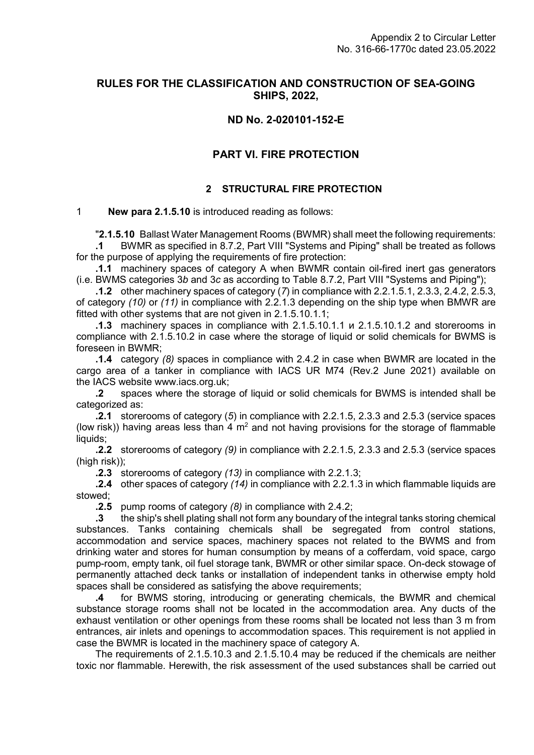## **RULES FOR THE CLASSIFICATION AND CONSTRUCTION OF SEA-GOING SHIPS, 2022,**

## **ND No. 2-020101-152-E**

## **PART VI. FIRE PROTECTION**

## **2 STRUCTURAL FIRE PROTECTION**

## 1 **New para 2.1.5.10** is introduced reading as follows:

**"2.1.5.10** Ballast Water Management Rooms (BWMR) shall meet the following requirements:

**.1** BWMR as specified in 8.7.2, Part VIII "Systems and Piping" shall be treated as follows for the purpose of applying the requirements of fire protection:

**.1.1** machinery spaces of category A when BWMR contain oil-fired inert gas generators (i.e. BWMS categories 3*b* and 3*c* as according to Table 8.7.2, Part VIII "Systems and Piping");

**.1.2** other machinery spaces of category (*7*) in compliance with 2.2.1.5.1, 2.3.3, 2.4.2, 2.5.3, of category *(10)* or *(11)* in compliance with 2.2.1.3 depending on the ship type when BMWR are fitted with other systems that are not given in 2.1.5.10.1.1;

**.1.3** machinery spaces in compliance with 2.1.5.10.1.1 и 2.1.5.10.1.2 and storerooms in compliance with 2.1.5.10.2 in case where the storage of liquid or solid chemicals for BWMS is foreseen in BWMR;

**.1.4** category *(8)* spaces in compliance with 2.4.2 in case when BWMR are located in the cargo area of a tanker in compliance with IACS UR M74 (Rev.2 June 2021) available on the IACS website www.iacs.org.uk;

**.2** spaces where the storage of liquid or solid chemicals for BWMS is intended shall be categorized as:

**.2.1** storerooms of category (*5*) in compliance with 2.2.1.5, 2.3.3 and 2.5.3 (service spaces (low risk)) having areas less than  $4 \text{ m}^2$  and not having provisions for the storage of flammable liquids:

**.2.2** storerooms of category *(9)* in compliance with 2.2.1.5, 2.3.3 and 2.5.3 (service spaces (high risk));

**.2.3** storerooms of category *(13)* in compliance with 2.2.1.3;

**.2.4** other spaces of category *(14)* in compliance with 2.2.1.3 in which flammable liquids are stowed;

**.2.5** pump rooms of category *(8)* in compliance with 2.4.2;

**.3** the ship's shell plating shall not form any boundary of the integral tanks storing chemical substances. Tanks containing chemicals shall be segregated from control stations, accommodation and service spaces, machinery spaces not related to the BWMS and from drinking water and stores for human consumption by means of a cofferdam, void space, cargo pump-room, empty tank, oil fuel storage tank, BWMR or other similar space. On-deck stowage of permanently attached deck tanks or installation of independent tanks in otherwise empty hold spaces shall be considered as satisfying the above requirements;

**.4** for BWMS storing, introducing or generating chemicals, the BWMR and chemical substance storage rooms shall not be located in the accommodation area. Any ducts of the exhaust ventilation or other openings from these rooms shall be located not less than 3 m from entrances, air inlets and openings to accommodation spaces. This requirement is not applied in case the BWMR is located in the machinery space of category A.

The requirements of 2.1.5.10.3 and 2.1.5.10.4 may be reduced if the chemicals are neither toxic nor flammable. Herewith, the risk assessment of the used substances shall be carried out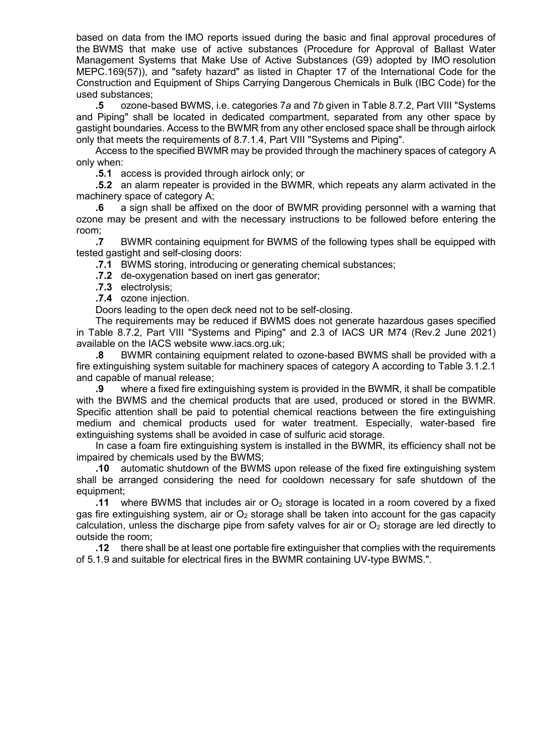based on data from the IMO reports issued during the basic and final approval procedures of the BWMS that make use of active substances (Procedure for Approval of Ballast Water Management Systems that Make Use of Active Substances (G9) adopted by IMO resolution MEPC.169(57)), and "safety hazard" as listed in Chapter 17 of the International Code for the Construction and Equipment of Ships Carrying Dangerous Chemicals in Bulk (IBC Code) for the used substances;

**5** ozone-based BWMS, i.e. categories 7a and 7b given in Table 8.7.2, Part VIII "Systems" and Piping" shall be located in dedicated compartment, separated from any other space by gastight boundaries. Access to the BWMR from any other enclosed space shall be through airlock only that meets the requirements of 8.7.1.4, Part VIII "Systems and Piping".

Access to the specified BWMR may be provided through the machinery spaces of category A only when:

**.5.1** access is provided through airlock only; or

**.5.2** an alarm repeater is provided in the BWMR, which repeats any alarm activated in the machinery space of category A;

**.6** a sign shall be affixed on the door of BWMR providing personnel with a warning that ozone may be present and with the necessary instructions to be followed before entering the room;

**.7** BWMR containing equipment for BWMS of the following types shall be equipped with tested gastight and self-closing doors:

**.7.1** BWMS storing, introducing or generating chemical substances;

**.7.2** de-oxygenation based on inert gas generator;

**.7.3** electrolysis;

**.7.4** ozone injection.

Doors leading to the open deck need not to be self-closing.

The requirements may be reduced if BWMS does not generate hazardous gases specified in Table 8.7.2, Part VIII "Systems and Piping" and 2.3 of IACS UR M74 (Rev.2 June 2021) available on the IACS website [www.iacs.org.uk;](http://www.iacs.org.uk/)

**.8** BWMR containing equipment related to ozone-based BWMS shall be provided with a fire extinguishing system suitable for machinery spaces of category A according to Table 3.1.2.1 and capable of manual release;

**.9** where a fixed fire extinguishing system is provided in the BWMR, it shall be compatible with the BWMS and the chemical products that are used, produced or stored in the BWMR. Specific attention shall be paid to potential chemical reactions between the fire extinguishing medium and chemical products used for water treatment. Especially, water-based fire extinguishing systems shall be avoided in case of sulfuric acid storage.

In case a foam fire extinguishing system is installed in the BWMR, its efficiency shall not be impaired by chemicals used by the BWMS;

**.10** automatic shutdown of the BWMS upon release of the fixed fire extinguishing system shall be arranged considering the need for cooldown necessary for safe shutdown of the equipment;

**.11** where BWMS that includes air or  $O<sub>2</sub>$  storage is located in a room covered by a fixed gas fire extinguishing system, air or  $O<sub>2</sub>$  storage shall be taken into account for the gas capacity calculation, unless the discharge pipe from safety valves for air or  $O<sub>2</sub>$  storage are led directly to outside the room;

**.12** there shall be at least one portable fire extinguisher that complies with the requirements of 5.1.9 and suitable for electrical fires in the BWMR containing UV-type BWMS."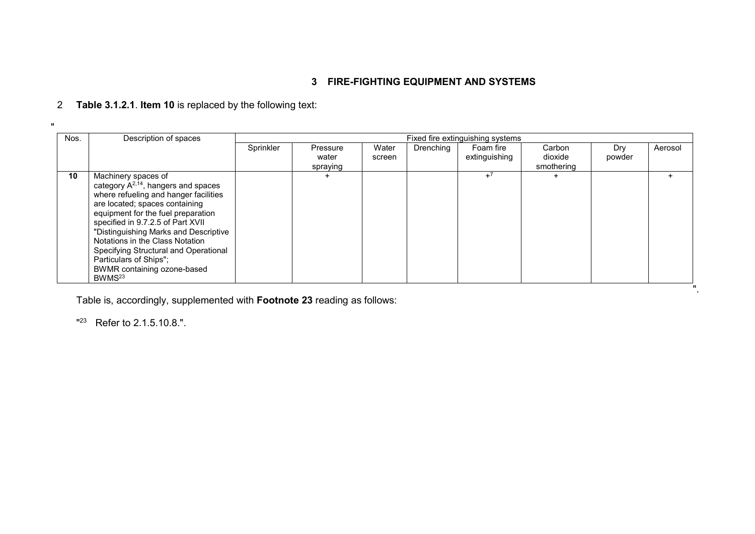## **3 FIRE-FIGHTING EQUIPMENT AND SYSTEMS**

# 2 **Table 3.1.2.1**. **Item 10** is replaced by the following text:

| Nos. | Description of spaces                                                                                                                                                                                                                                                                                                                                                                                                     |           | Fixed fire extinguishing systems |                 |           |                            |                                 |               |         |  |
|------|---------------------------------------------------------------------------------------------------------------------------------------------------------------------------------------------------------------------------------------------------------------------------------------------------------------------------------------------------------------------------------------------------------------------------|-----------|----------------------------------|-----------------|-----------|----------------------------|---------------------------------|---------------|---------|--|
|      |                                                                                                                                                                                                                                                                                                                                                                                                                           | Sprinkler | Pressure<br>water<br>spraying    | Water<br>screen | Drenching | Foam fire<br>extinguishing | Carbon<br>dioxide<br>smothering | Dry<br>powder | Aerosol |  |
| 10   | Machinery spaces of<br>category $A^{2,14}$ , hangers and spaces<br>where refueling and hanger facilities<br>are located; spaces containing<br>equipment for the fuel preparation<br>specified in 9.7.2.5 of Part XVII<br>"Distinguishing Marks and Descriptive<br>Notations in the Class Notation<br>Specifying Structural and Operational<br>Particulars of Ships";<br>BWMR containing ozone-based<br>BWMS <sup>23</sup> |           |                                  |                 |           | $+7$                       |                                 |               |         |  |
|      |                                                                                                                                                                                                                                                                                                                                                                                                                           |           |                                  |                 |           |                            |                                 |               |         |  |

Table is, accordingly, supplemented with **Footnote 23** reading as follows:

 $"^{23}$  Refer to 2.1.5.10.8.".

 $\mathbf u$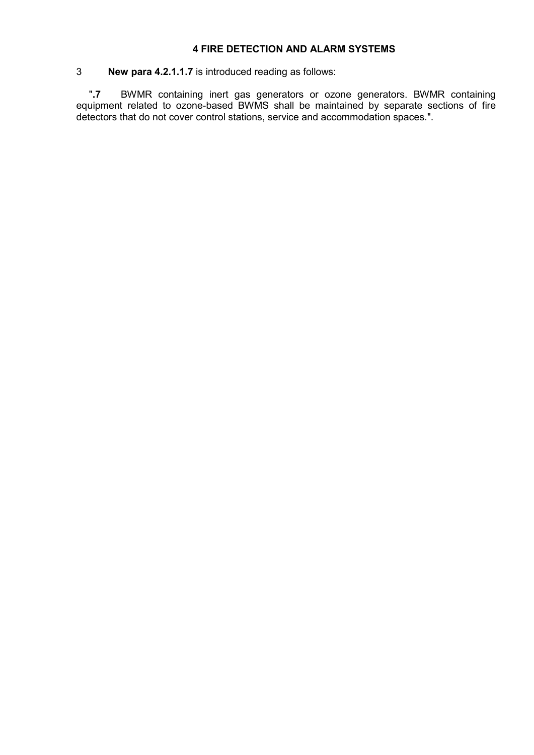## **4 FIRE DETECTION AND ALARM SYSTEMS**

## 3 **New para 4.2.1.1.7** is introduced reading as follows:

ʺ**.7** BWMR containing inert gas generators or ozone generators. BWMR containing equipment related to ozone-based BWMS shall be maintained by separate sections of fire detectors that do not cover control stations, service and accommodation spaces.".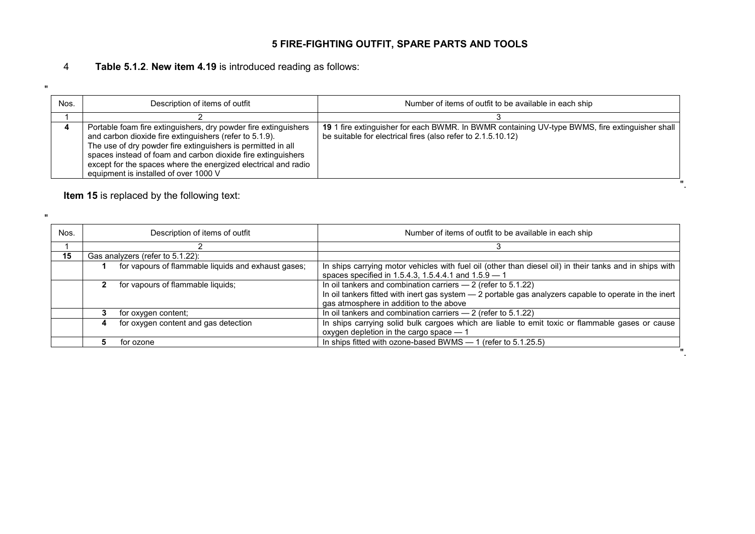# **5 FIRE-FIGHTING OUTFIT, SPARE PARTS AND TOOLS**

## 4 **Table 5.1.2**. **New item 4.19** is introduced reading as follows:

| Nos. | Description of items of outfit                                                                                                                                                                                                                                                                                                                                        | Number of items of outfit to be available in each ship                                                                                                         |
|------|-----------------------------------------------------------------------------------------------------------------------------------------------------------------------------------------------------------------------------------------------------------------------------------------------------------------------------------------------------------------------|----------------------------------------------------------------------------------------------------------------------------------------------------------------|
|      |                                                                                                                                                                                                                                                                                                                                                                       |                                                                                                                                                                |
|      | Portable foam fire extinguishers, dry powder fire extinguishers<br>and carbon dioxide fire extinguishers (refer to 5.1.9).<br>The use of dry powder fire extinguishers is permitted in all<br>spaces instead of foam and carbon dioxide fire extinguishers<br>except for the spaces where the energized electrical and radio<br>equipment is installed of over 1000 V | 19 1 fire extinguisher for each BWMR. In BWMR containing UV-type BWMS, fire extinguisher shall<br>be suitable for electrical fires (also refer to 2.1.5.10.12) |
|      |                                                                                                                                                                                                                                                                                                                                                                       |                                                                                                                                                                |

**Item 15** is replaced by the following text:

 $\bf u$ 

 $\bf u$ 

| Nos. | Description of items of outfit                      | Number of items of outfit to be available in each ship                                                                                                                                                               |  |  |  |  |  |  |
|------|-----------------------------------------------------|----------------------------------------------------------------------------------------------------------------------------------------------------------------------------------------------------------------------|--|--|--|--|--|--|
|      |                                                     |                                                                                                                                                                                                                      |  |  |  |  |  |  |
| 15   | Gas analyzers (refer to 5.1.22):                    |                                                                                                                                                                                                                      |  |  |  |  |  |  |
|      | for vapours of flammable liquids and exhaust gases; | In ships carrying motor vehicles with fuel oil (other than diesel oil) in their tanks and in ships with<br>spaces specified in 1.5.4.3, 1.5.4.4.1 and 1.5.9 - 1                                                      |  |  |  |  |  |  |
|      | for vapours of flammable liquids;                   | In oil tankers and combination carriers $-2$ (refer to 5.1.22)<br>In oil tankers fitted with inert gas system $-2$ portable gas analyzers capable to operate in the inert<br>gas atmosphere in addition to the above |  |  |  |  |  |  |
|      | for oxygen content;                                 | In oil tankers and combination carriers $-2$ (refer to 5.1.22)                                                                                                                                                       |  |  |  |  |  |  |
|      | for oxygen content and gas detection                | In ships carrying solid bulk cargoes which are liable to emit toxic or flammable gases or cause<br>oxygen depletion in the cargo space - 1                                                                           |  |  |  |  |  |  |
|      | for ozone                                           | In ships fitted with ozone-based BWMS $-$ 1 (refer to 5.1.25.5)                                                                                                                                                      |  |  |  |  |  |  |
|      |                                                     |                                                                                                                                                                                                                      |  |  |  |  |  |  |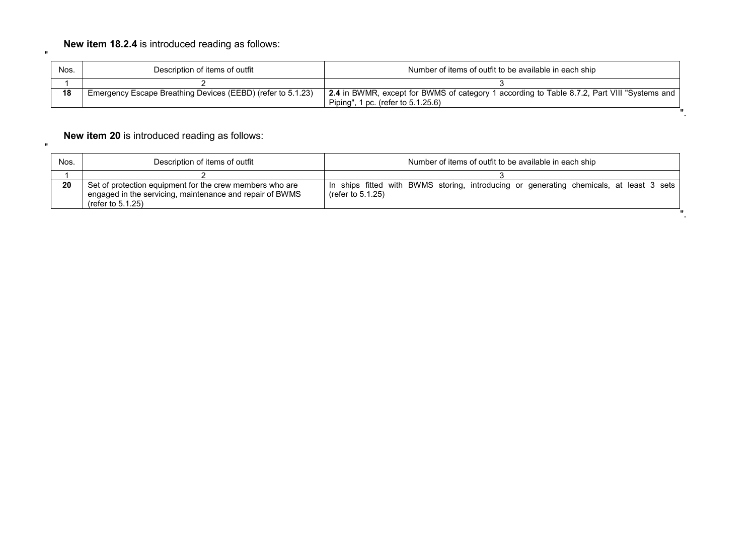| Nos. | Description of items of outfit                              | Number of items of outfit to be available in each ship                                                                            |
|------|-------------------------------------------------------------|-----------------------------------------------------------------------------------------------------------------------------------|
|      |                                                             |                                                                                                                                   |
| 18   | Emergency Escape Breathing Devices (EEBD) (refer to 5.1.23) | 2.4 in BWMR, except for BWMS of category 1 according to Table 8.7.2, Part VIII "Systems and<br>Piping", 1 pc. (refer to 5.1.25.6) |
|      |                                                             |                                                                                                                                   |

# **New item 20** is introduced reading as follows:

 $\mathbf u$ 

 $\mathbf{u}$ 

| Nos. | Description of items of outfit                                                                                                               | Number of items of outfit to be available in each ship                                                          |  |  |  |  |  |  |  |  |
|------|----------------------------------------------------------------------------------------------------------------------------------------------|-----------------------------------------------------------------------------------------------------------------|--|--|--|--|--|--|--|--|
|      |                                                                                                                                              |                                                                                                                 |  |  |  |  |  |  |  |  |
| 20   | Set of protection equipment for the crew members who are<br>engaged in the servicing, maintenance and repair of BWMS<br>(refer to $5.1.25$ ) | In ships fitted with BWMS storing, introducing or generating chemicals, at least 3 sets<br>(refer to $5.1.25$ ) |  |  |  |  |  |  |  |  |
|      |                                                                                                                                              |                                                                                                                 |  |  |  |  |  |  |  |  |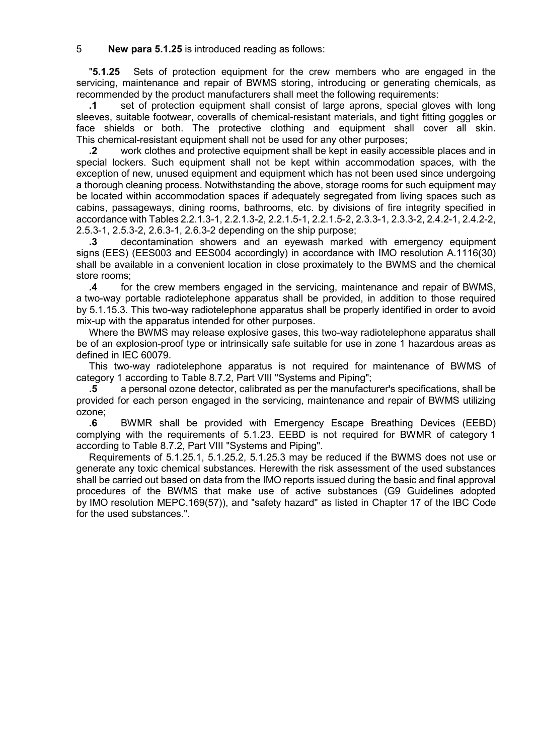## 5 **New para 5.1.25** is introduced reading as follows:

ʺ**5.1.25** Sets of protection equipment for the crew members who are engaged in the servicing, maintenance and repair of BWMS storing, introducing or generating chemicals, as recommended by the product manufacturers shall meet the following requirements:

**.1** set of protection equipment shall consist of large aprons, special gloves with long sleeves, suitable footwear, coveralls of chemical-resistant materials, and tight fitting goggles or face shields or both. The protective clothing and equipment shall cover all skin. This chemical-resistant equipment shall not be used for any other purposes;

**.2** work clothes and protective equipment shall be kept in easily accessible places and in special lockers. Such equipment shall not be kept within accommodation spaces, with the exception of new, unused equipment and equipment which has not been used since undergoing a thorough cleaning process. Notwithstanding the above, storage rooms for such equipment may be located within accommodation spaces if adequately segregated from living spaces such as cabins, passageways, dining rooms, bathrooms, etc. by divisions of fire integrity specified in accordance with Tables 2.2.1.3-1, 2.2.1.3-2, 2.2.1.5-1, 2.2.1.5-2, 2.3.3-1, 2.3.3-2, 2.4.2-1, 2.4.2-2, 2.5.3-1, 2.5.3-2, 2.6.3-1, 2.6.3-2 depending on the ship purpose;

**.3** decontamination showers and an eyewash marked with emergency equipment signs (EES) (EES003 and EES004 accordingly) in accordance with IMO resolution A.1116(30) shall be available in a convenient location in close proximately to the BWMS and the chemical store rooms;

**.4** for the crew members engaged in the servicing, maintenance and repair of BWMS, a two-way portable radiotelephone apparatus shall be provided, in addition to those required by 5.1.15.3. This two-way radiotelephone apparatus shall be properly identified in order to avoid mix-up with the apparatus intended for other purposes.

Where the BWMS may release explosive gases, this two-way radiotelephone apparatus shall be of an explosion-proof type or intrinsically safe suitable for use in zone 1 hazardous areas as defined in IEC 60079.

This two-way radiotelephone apparatus is not required for maintenance of BWMS of category 1 according to Table 8.7.2, Part VIII "Systems and Piping";

**5** a personal ozone detector, calibrated as per the manufacturer's specifications, shall be provided for each person engaged in the servicing, maintenance and repair of BWMS utilizing ozone;

**.6** BWMR shall be provided with Emergency Escape Breathing Devices (EEBD) complying with the requirements of 5.1.23. EEBD is not required for BWMR of category 1 according to Table 8.7.2, Part VIII "Systems and Piping".

Requirements of 5.1.25.1, 5.1.25.2, 5.1.25.3 may be reduced if the BWMS does not use or generate any toxic chemical substances. Herewith the risk assessment of the used substances shall be carried out based on data from the IMO reports issued during the basic and final approval procedures of the BWMS that make use of active substances (G9 Guidelines adopted by IMO resolution MEPC.169(57)), and "safety hazard" as listed in Chapter 17 of the IBC Code for the used substances.".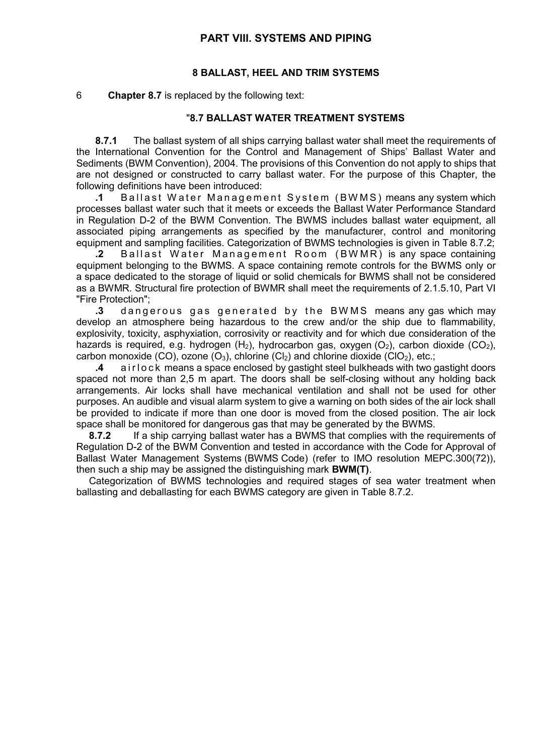## **PART VIII. SYSTEMS AND PIPING**

## **8 BALLAST, HEEL AND TRIM SYSTEMS**

### 6 **Chapter 8.7** is replaced by the following text:

## ʺ**8.7 BALLAST WATER TREATMENT SYSTEMS**

**8.7.1** The ballast system of all ships carrying ballast water shall meet the requirements of the International Convention for the Control and Management of Ships' Ballast Water and Sediments (BWM Convention), 2004. The provisions of this Convention do not apply to ships that are not designed or constructed to carry ballast water. For the purpose of this Chapter, the following definitions have been introduced:

**.1** Ballast Water Management System ( BWMS ) means any system which processes ballast water such that it meets or exceeds the Ballast Water Performance Standard in Regulation D-2 of the BWM Convention. The BWMS includes ballast water equipment, all associated piping arrangements as specified by the manufacturer, control and monitoring equipment and sampling facilities. Categorization of BWMS technologies is given in Table 8.7.2;

**.2** Ballast Water Management Room (BWMR) is any space containing equipment belonging to the BWMS. A space containing remote controls for the BWMS only or a space dedicated to the storage of liquid or solid chemicals for BWMS shall not be considered as a BWMR. Structural fire protection of BWMR shall meet the requirements of 2.1.5.10, Part VI "Fire Protection";<br>**3** dange:

**.3** dangerous gas generated by the BWMS means any gas which may develop an atmosphere being hazardous to the crew and/or the ship due to flammability, explosivity, toxicity, asphyxiation, corrosivity or reactivity and for which due consideration of the hazards is required, e.g. hydrogen  $(H_2)$ , hydrocarbon gas, oxygen  $(O_2)$ , carbon dioxide  $(CO_2)$ , carbon monoxide (CO), ozone (O<sub>3</sub>), chlorine (Cl<sub>2</sub>) and chlorine dioxide (ClO<sub>2</sub>), etc.;

**.4** airlock means a space enclosed by gastight steel bulkheads with two gastight doors spaced not more than 2,5 m apart. The doors shall be self-closing without any holding back arrangements. Air locks shall have mechanical ventilation and shall not be used for other purposes. An audible and visual alarm system to give a warning on both sides of the air lock shall be provided to indicate if more than one door is moved from the closed position. The air lock space shall be monitored for dangerous gas that may be generated by the BWMS.

**8.7.2** If a ship carrying ballast water has a BWMS that complies with the requirements of Regulation D-2 of the BWM Convention and tested in accordance with the Code for Approval of Ballast Water Management Systems (BWMS Code) (refer to IMO resolution MEPC.300(72)), then such a ship may be assigned the distinguishing mark **BWM(T)**.

Categorization of BWMS technologies and required stages of sea water treatment when ballasting and deballasting for each BWMS category are given in Table 8.7.2.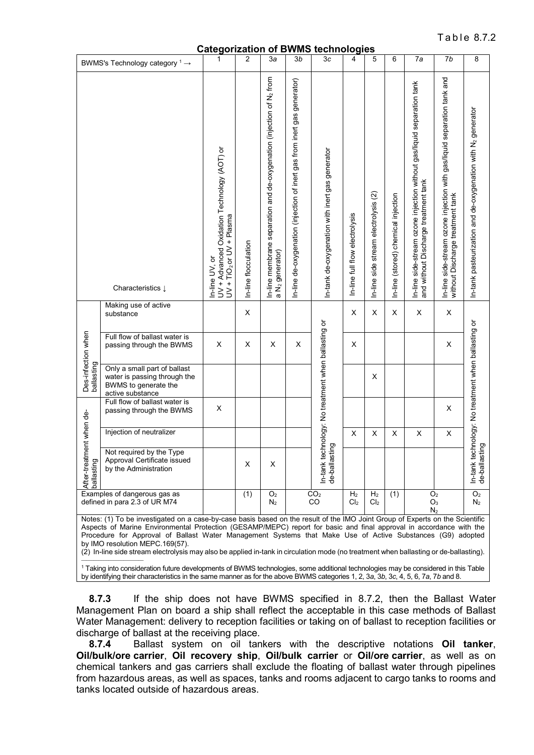Table 872

**Categorization of BWMS technologies**

|                                                               |                                                                                                                                                                                                                                                                                                                                                                                                                                                                                                                                                 | Calegorization                                                                                |                                    |                                                                                                     |                                                                          | <b>OI DIVINIS LECTIFIOIOGIES</b>                                            |                                   |                                      |                                     |                                                                                                                |                                                                                                             |                                                                         |
|---------------------------------------------------------------|-------------------------------------------------------------------------------------------------------------------------------------------------------------------------------------------------------------------------------------------------------------------------------------------------------------------------------------------------------------------------------------------------------------------------------------------------------------------------------------------------------------------------------------------------|-----------------------------------------------------------------------------------------------|------------------------------------|-----------------------------------------------------------------------------------------------------|--------------------------------------------------------------------------|-----------------------------------------------------------------------------|-----------------------------------|--------------------------------------|-------------------------------------|----------------------------------------------------------------------------------------------------------------|-------------------------------------------------------------------------------------------------------------|-------------------------------------------------------------------------|
|                                                               | BWMS's Technology category $1 \rightarrow$                                                                                                                                                                                                                                                                                                                                                                                                                                                                                                      | 1                                                                                             | 2                                  | 3a                                                                                                  | 3 <sub>b</sub>                                                           | 3c                                                                          | 4                                 | 5                                    | 6                                   | 7a                                                                                                             | 7b                                                                                                          | 8                                                                       |
|                                                               | Characteristics Į                                                                                                                                                                                                                                                                                                                                                                                                                                                                                                                               | UV + Advanced Oxidation Technology (AOT) or<br>$UV + TiO2$ or $UV + Plasma$<br>In-line UV, or | In-line flocculation               | In-line membrane separation and de-oxygenation (injection of N2 from<br>a N <sub>2</sub> generator) | In-line de-oxygenation (injection of inert gas from inert gas generator) | In-tank de-oxygenation with inert gas generator                             | In-line full flow electrolysis    | In-line side stream electrolysis (2) | In-line (stored) chemical injection | In-line side-stream ozone injection without gas/liquid separation tank<br>and without Discharge treatment tank | In-line side-stream ozone injection with gas/liquid separation tank and<br>without Discharge treatment tank | In-tank pasteurization and de-oxygenation with N <sub>2</sub> generator |
|                                                               | Making use of active<br>substance                                                                                                                                                                                                                                                                                                                                                                                                                                                                                                               |                                                                                               | X                                  |                                                                                                     |                                                                          |                                                                             | X                                 | X                                    | X                                   | X                                                                                                              | $\sf X$                                                                                                     |                                                                         |
|                                                               | Full flow of ballast water is<br>passing through the BWMS                                                                                                                                                                                                                                                                                                                                                                                                                                                                                       | X                                                                                             | X                                  | X                                                                                                   | X                                                                        |                                                                             | X                                 |                                      |                                     |                                                                                                                | $\sf X$                                                                                                     |                                                                         |
| Des-infection when<br>ballasting                              | Only a small part of ballast<br>water is passing through the<br>BWMS to generate the<br>active substance                                                                                                                                                                                                                                                                                                                                                                                                                                        |                                                                                               |                                    |                                                                                                     |                                                                          |                                                                             |                                   | X                                    |                                     |                                                                                                                |                                                                                                             |                                                                         |
|                                                               | Full flow of ballast water is<br>passing through the BWMS                                                                                                                                                                                                                                                                                                                                                                                                                                                                                       | X                                                                                             |                                    |                                                                                                     |                                                                          |                                                                             |                                   |                                      |                                     |                                                                                                                | X                                                                                                           |                                                                         |
|                                                               | Injection of neutralizer                                                                                                                                                                                                                                                                                                                                                                                                                                                                                                                        |                                                                                               |                                    |                                                                                                     |                                                                          |                                                                             | $\sf X$                           | $\sf X$                              | X                                   | $\sf X$                                                                                                        | $\sf X$                                                                                                     |                                                                         |
| After-treatment when de-<br>ballasting                        | Not required by the Type<br>Approval Certificate issued<br>by the Administration                                                                                                                                                                                                                                                                                                                                                                                                                                                                |                                                                                               | X                                  | Χ                                                                                                   |                                                                          | In-tank technology: No treatment when ballasting or<br>de-ballasting<br>gui |                                   |                                      |                                     |                                                                                                                |                                                                                                             | In-tank technology: No treatment when ballasting or<br>de-ballasting    |
| Examples of dangerous gas as<br>defined in para 2.3 of UR M74 |                                                                                                                                                                                                                                                                                                                                                                                                                                                                                                                                                 | (1)                                                                                           | $\overline{O}_2$<br>$\mathsf{N}_2$ |                                                                                                     | CO <sub>2</sub><br>CO                                                    | H <sub>2</sub><br>Cl <sub>2</sub>                                           | H <sub>2</sub><br>Cl <sub>2</sub> | (1)                                  |                                     | O <sub>2</sub><br>$O_3$<br>N <sub>2</sub>                                                                      | O <sub>2</sub><br>$N_2$                                                                                     |                                                                         |
|                                                               | Notes: (1) To be investigated on a case-by-case basis based on the result of the IMO Joint Group of Experts on the Scientific<br>Aspects of Marine Environmental Protection (GESAMP/MEPC) report for basic and final approval in accordance with the<br>Procedure for Approval of Ballast Water Management Systems that Make Use of Active Substances (G9) adopted<br>by IMO resolution MEPC. 169(57).<br>(2) In-line side stream electrolysis may also be applied in-tank in circulation mode (no treatment when ballasting or de-ballasting). |                                                                                               |                                    |                                                                                                     |                                                                          |                                                                             |                                   |                                      |                                     |                                                                                                                |                                                                                                             |                                                                         |

<sup>1</sup> Taking into consideration future developments of BWMS technologies, some additional technologies may be considered in this Table by identifying their characteristics in the same manner as for the above BWMS categories 1, 2, 3*a*, 3*b*, 3*c*, 4, 5, 6, 7*a*, 7*b* and 8.

**8.7.3** If the ship does not have BWMS specified in 8.7.2, then the Ballast Water Management Plan on board a ship shall reflect the acceptable in this case methods of Ballast Water Management: delivery to reception facilities or taking on of ballast to reception facilities or discharge of ballast at the receiving place.

**8.7.4** Ballast system on oil tankers with the descriptive notations **Oil tanker**, **Oil/bulk/ore carrier**, **Oil recovery ship**, **Oil/bulk carrier** or **Oil/ore carrier**, as well as on chemical tankers and gas carriers shall exclude the floating of ballast water through pipelines from hazardous areas, as well as spaces, tanks and rooms adjacent to cargo tanks to rooms and tanks located outside of hazardous areas.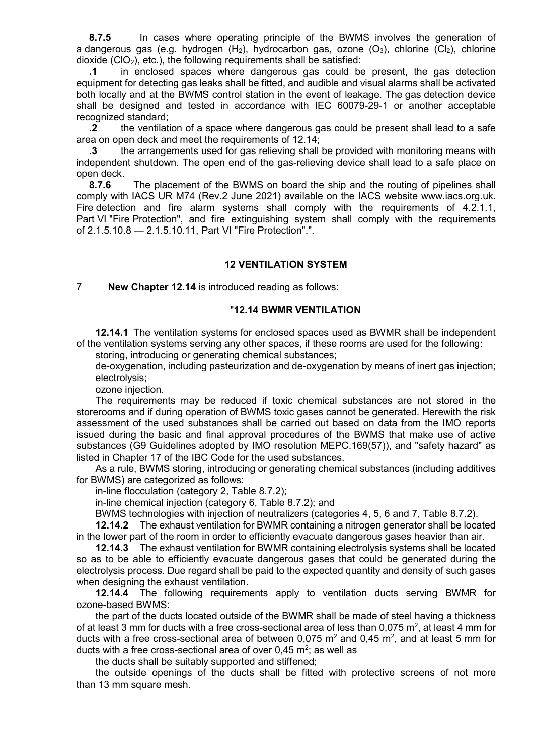**8.7.5** In cases where operating principle of the BWMS involves the generation of a dangerous gas (e.g. hydrogen  $(H_2)$ , hydrocarbon gas, ozone  $(O_3)$ , chlorine  $(Cl_2)$ , chlorine dioxide  $(CIO<sub>2</sub>)$ , etc.), the following requirements shall be satisfied:

**.1** in enclosed spaces where dangerous gas could be present, the gas detection equipment for detecting gas leaks shall be fitted, and audible and visual alarms shall be activated both locally and at the BWMS control station in the event of leakage. The gas detection device shall be designed and tested in accordance with IEC 60079-29-1 or another acceptable recognized standard;

**.2** the ventilation of a space where dangerous gas could be present shall lead to a safe area on open deck and meet the requirements of 12.14;

**.3** the arrangements used for gas relieving shall be provided with monitoring means with independent shutdown. The open end of the gas-relieving device shall lead to a safe place on open deck.<br>8.7.6

**8.7.6** The placement of the BWMS on board the ship and the routing of pipelines shall comply with IACS UR M74 (Rev.2 June 2021) available on the IACS website www.iacs.org.uk. Fire detection and fire alarm systems shall comply with the requirements of 4.2.1.1, Part VI "Fire Protection", and fire extinguishing system shall comply with the requirements of 2.1.5.10.8 - 2.1.5.10.11, Part VI "Fire Protection".".

### **12 VENTILATION SYSTEM**

7 **New Chapter 12.14** is introduced reading as follows:

#### ʺ**12.14 BWMR VENTILATION**

**12.14.1** The ventilation systems for enclosed spaces used as BWMR shall be independent of the ventilation systems serving any other spaces, if these rooms are used for the following:

storing, introducing or generating chemical substances;

de-oxygenation, including pasteurization and de-oxygenation by means of inert gas injection; electrolysis;

ozone injection.

The requirements may be reduced if toxic chemical substances are not stored in the storerooms and if during operation of BWMS toxic gases cannot be generated. Herewith the risk assessment of the used substances shall be carried out based on data from the IMO reports issued during the basic and final approval procedures of the BWMS that make use of active substances (G9 Guidelines adopted by IMO resolution MEPC.169(57)), and "safety hazard" as listed in Chapter 17 of the IBC Code for the used substances.

As a rule, BWMS storing, introducing or generating chemical substances (including additives for BWMS) are categorized as follows:

in-line flocculation (category 2, Table 8.7.2);

in-line chemical injection (category 6, Table 8.7.2); and

BWMS technologies with injection of neutralizers (categories 4, 5, 6 and 7, Table 8.7.2).

**12.14.2** The exhaust ventilation for BWMR containing a nitrogen generator shall be located in the lower part of the room in order to efficiently evacuate dangerous gases heavier than air.

**12.14.3** The exhaust ventilation for BWMR containing electrolysis systems shall be located so as to be able to efficiently evacuate dangerous gases that could be generated during the electrolysis process. Due regard shall be paid to the expected quantity and density of such gases when designing the exhaust ventilation.

**12.14.4** The following requirements apply to ventilation ducts serving BWMR for ozone-based BWMS:

the part of the ducts located outside of the BWMR shall be made of steel having a thickness of at least 3 mm for ducts with a free cross-sectional area of less than 0,075  $m^2$ , at least 4 mm for ducts with a free cross-sectional area of between 0,075  $m^2$  and 0,45  $m^2$ , and at least 5 mm for ducts with a free cross-sectional area of over  $0,45 \text{ m}^2$ ; as well as

the ducts shall be suitably supported and stiffened;

the outside openings of the ducts shall be fitted with protective screens of not more than 13 mm square mesh.